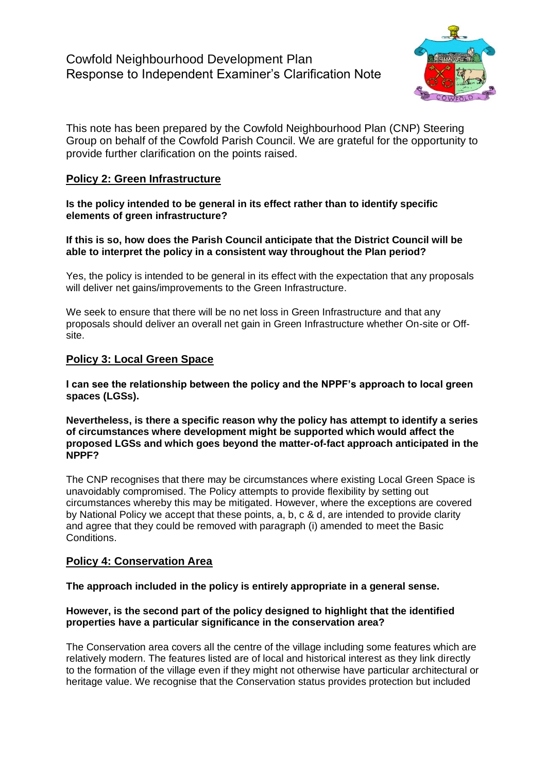

This note has been prepared by the Cowfold Neighbourhood Plan (CNP) Steering Group on behalf of the Cowfold Parish Council. We are grateful for the opportunity to provide further clarification on the points raised.

# **Policy 2: Green Infrastructure**

**Is the policy intended to be general in its effect rather than to identify specific elements of green infrastructure?** 

## **If this is so, how does the Parish Council anticipate that the District Council will be able to interpret the policy in a consistent way throughout the Plan period?**

Yes, the policy is intended to be general in its effect with the expectation that any proposals will deliver net gains/improvements to the Green Infrastructure.

We seek to ensure that there will be no net loss in Green Infrastructure and that any proposals should deliver an overall net gain in Green Infrastructure whether On-site or Offsite.

## **Policy 3: Local Green Space**

**I can see the relationship between the policy and the NPPF's approach to local green spaces (LGSs).** 

**Nevertheless, is there a specific reason why the policy has attempt to identify a series of circumstances where development might be supported which would affect the proposed LGSs and which goes beyond the matter-of-fact approach anticipated in the NPPF?** 

The CNP recognises that there may be circumstances where existing Local Green Space is unavoidably compromised. The Policy attempts to provide flexibility by setting out circumstances whereby this may be mitigated. However, where the exceptions are covered by National Policy we accept that these points, a, b, c & d, are intended to provide clarity and agree that they could be removed with paragraph (i) amended to meet the Basic Conditions.

## **Policy 4: Conservation Area**

## **The approach included in the policy is entirely appropriate in a general sense.**

## **However, is the second part of the policy designed to highlight that the identified properties have a particular significance in the conservation area?**

The Conservation area covers all the centre of the village including some features which are relatively modern. The features listed are of local and historical interest as they link directly to the formation of the village even if they might not otherwise have particular architectural or heritage value. We recognise that the Conservation status provides protection but included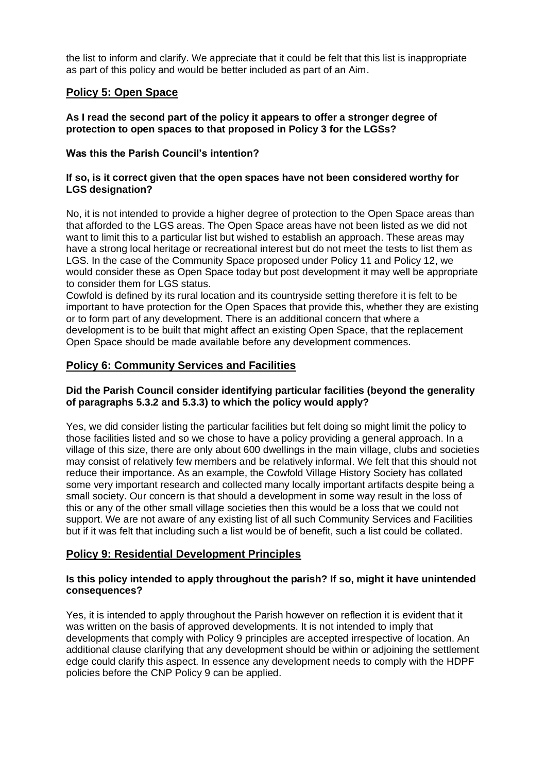the list to inform and clarify. We appreciate that it could be felt that this list is inappropriate as part of this policy and would be better included as part of an Aim.

# **Policy 5: Open Space**

## **As I read the second part of the policy it appears to offer a stronger degree of protection to open spaces to that proposed in Policy 3 for the LGSs?**

## **Was this the Parish Council's intention?**

## **If so, is it correct given that the open spaces have not been considered worthy for LGS designation?**

No, it is not intended to provide a higher degree of protection to the Open Space areas than that afforded to the LGS areas. The Open Space areas have not been listed as we did not want to limit this to a particular list but wished to establish an approach. These areas may have a strong local heritage or recreational interest but do not meet the tests to list them as LGS. In the case of the Community Space proposed under Policy 11 and Policy 12, we would consider these as Open Space today but post development it may well be appropriate to consider them for LGS status.

Cowfold is defined by its rural location and its countryside setting therefore it is felt to be important to have protection for the Open Spaces that provide this, whether they are existing or to form part of any development. There is an additional concern that where a development is to be built that might affect an existing Open Space, that the replacement Open Space should be made available before any development commences.

## **Policy 6: Community Services and Facilities**

## **Did the Parish Council consider identifying particular facilities (beyond the generality of paragraphs 5.3.2 and 5.3.3) to which the policy would apply?**

Yes, we did consider listing the particular facilities but felt doing so might limit the policy to those facilities listed and so we chose to have a policy providing a general approach. In a village of this size, there are only about 600 dwellings in the main village, clubs and societies may consist of relatively few members and be relatively informal. We felt that this should not reduce their importance. As an example, the Cowfold Village History Society has collated some very important research and collected many locally important artifacts despite being a small society. Our concern is that should a development in some way result in the loss of this or any of the other small village societies then this would be a loss that we could not support. We are not aware of any existing list of all such Community Services and Facilities but if it was felt that including such a list would be of benefit, such a list could be collated.

## **Policy 9: Residential Development Principles**

## **Is this policy intended to apply throughout the parish? If so, might it have unintended consequences?**

Yes, it is intended to apply throughout the Parish however on reflection it is evident that it was written on the basis of approved developments. It is not intended to imply that developments that comply with Policy 9 principles are accepted irrespective of location. An additional clause clarifying that any development should be within or adjoining the settlement edge could clarify this aspect. In essence any development needs to comply with the HDPF policies before the CNP Policy 9 can be applied.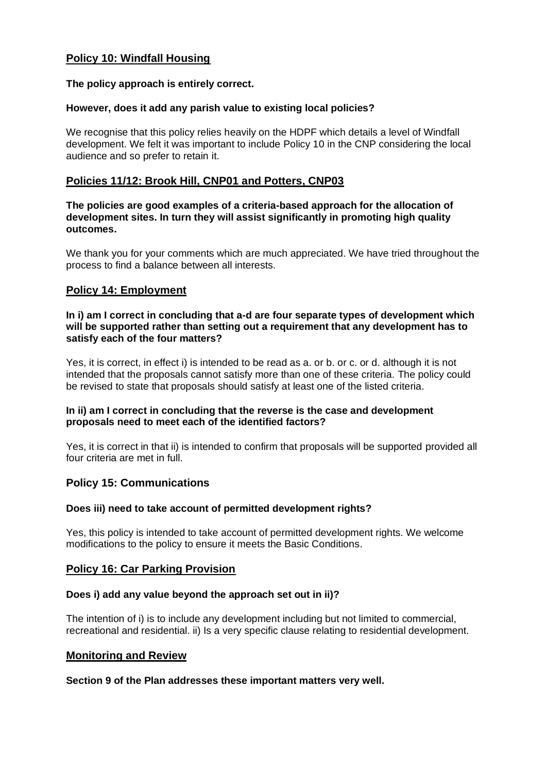# **Policy 10: Windfall Housing**

## **The policy approach is entirely correct.**

## **However, does it add any parish value to existing local policies?**

We recognise that this policy relies heavily on the HDPF which details a level of Windfall development. We felt it was important to include Policy 10 in the CNP considering the local audience and so prefer to retain it.

# **Policies 11/12: Brook Hill, CNP01 and Potters, CNP03**

#### **The policies are good examples of a criteria-based approach for the allocation of development sites. In turn they will assist significantly in promoting high quality outcomes.**

We thank you for your comments which are much appreciated. We have tried throughout the process to find a balance between all interests.

## **Policy 14: Employment**

#### **In i) am I correct in concluding that a-d are four separate types of development which will be supported rather than setting out a requirement that any development has to satisfy each of the four matters?**

Yes, it is correct, in effect i) is intended to be read as a. or b. or c. or d. although it is not intended that the proposals cannot satisfy more than one of these criteria. The policy could be revised to state that proposals should satisfy at least one of the listed criteria.

## **In ii) am I correct in concluding that the reverse is the case and development proposals need to meet each of the identified factors?**

Yes, it is correct in that ii) is intended to confirm that proposals will be supported provided all four criteria are met in full.

## **Policy 15: Communications**

## **Does iii) need to take account of permitted development rights?**

Yes, this policy is intended to take account of permitted development rights. We welcome modifications to the policy to ensure it meets the Basic Conditions.

## **Policy 16: Car Parking Provision**

## **Does i) add any value beyond the approach set out in ii)?**

The intention of i) is to include any development including but not limited to commercial, recreational and residential. ii) Is a very specific clause relating to residential development.

## **Monitoring and Review**

## **Section 9 of the Plan addresses these important matters very well.**